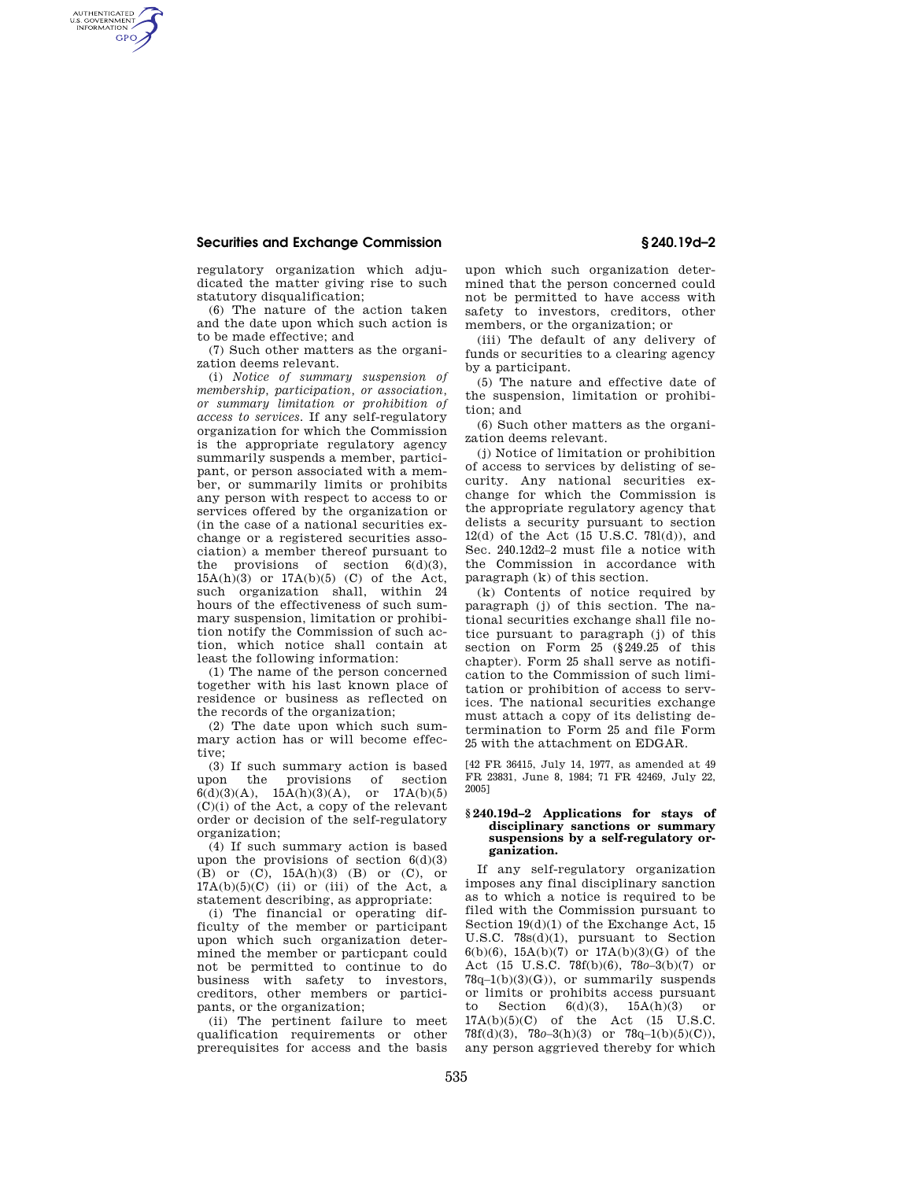## **Securities and Exchange Commission § 240.19d–2**

AUTHENTICATED<br>U.S. GOVERNMENT<br>INFORMATION **GPO** 

> regulatory organization which adjudicated the matter giving rise to such statutory disqualification;

> (6) The nature of the action taken and the date upon which such action is to be made effective; and

> (7) Such other matters as the organization deems relevant.

(i) *Notice of summary suspension of membership, participation, or association, or summary limitation or prohibition of access to services.* If any self-regulatory organization for which the Commission is the appropriate regulatory agency summarily suspends a member, participant, or person associated with a member, or summarily limits or prohibits any person with respect to access to or services offered by the organization or (in the case of a national securities exchange or a registered securities association) a member thereof pursuant to the provisions of section  $6(d)(3)$ ,  $15A(h)(3)$  or  $17A(b)(5)$  (C) of the Act, such organization shall, within 24 hours of the effectiveness of such summary suspension, limitation or prohibition notify the Commission of such action, which notice shall contain at least the following information:

(1) The name of the person concerned together with his last known place of residence or business as reflected on the records of the organization;

(2) The date upon which such summary action has or will become effective;

(3) If such summary action is based upon the provisions of section  $6(d)(3)(A)$ ,  $15A(h)(3)(A)$ , or  $17A(b)(5)$  $(C)(i)$  of the Act, a copy of the relevant order or decision of the self-regulatory organization;

(4) If such summary action is based upon the provisions of section  $6(d)(3)$ (B) or (C), 15A(h)(3) (B) or (C), or  $17A(b)(5)(C)$  (ii) or (iii) of the Act, a statement describing, as appropriate:

(i) The financial or operating difficulty of the member or participant upon which such organization determined the member or particpant could not be permitted to continue to do business with safety to investors, creditors, other members or participants, or the organization;

(ii) The pertinent failure to meet qualification requirements or other prerequisites for access and the basis

upon which such organization determined that the person concerned could not be permitted to have access with safety to investors, creditors, other members, or the organization; or

(iii) The default of any delivery of funds or securities to a clearing agency by a participant.

(5) The nature and effective date of the suspension, limitation or prohibition; and

(6) Such other matters as the organization deems relevant.

(j) Notice of limitation or prohibition of access to services by delisting of security. Any national securities exchange for which the Commission is the appropriate regulatory agency that delists a security pursuant to section 12(d) of the Act (15 U.S.C. 78l(d)), and Sec. 240.12d2–2 must file a notice with the Commission in accordance with paragraph (k) of this section.

(k) Contents of notice required by paragraph (j) of this section. The national securities exchange shall file notice pursuant to paragraph (j) of this section on Form 25 (§249.25 of this chapter). Form 25 shall serve as notification to the Commission of such limitation or prohibition of access to services. The national securities exchange must attach a copy of its delisting determination to Form 25 and file Form 25 with the attachment on EDGAR.

[42 FR 36415, July 14, 1977, as amended at 49 FR 23831, June 8, 1984; 71 FR 42469, July 22, 2005]

### **§ 240.19d–2 Applications for stays of disciplinary sanctions or summary suspensions by a self-regulatory organization.**

If any self-regulatory organization imposes any final disciplinary sanction as to which a notice is required to be filed with the Commission pursuant to Section 19(d)(1) of the Exchange Act, 15 U.S.C. 78s(d)(1), pursuant to Section 6(b)(6), 15A(b)(7) or 17A(b)(3)(G) of the Act (15 U.S.C. 78f(b)(6), 78*o*–3(b)(7) or  $78q-1(b)(3)(G)$ , or summarily suspends or limits or prohibits access pursuant to Section  $6(d)(3)$ ,  $15A(h)(3)$  or  $17A(b)(5)(C)$  of the Act  $(15$  U.S.C. 78f(d)(3), 78*o*–3(h)(3) or 78q–1(b)(5)(C)), any person aggrieved thereby for which